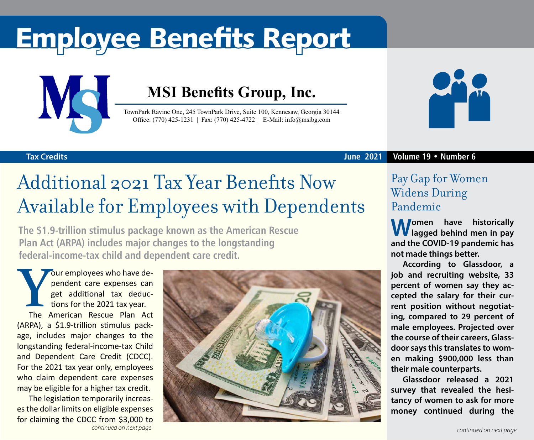# Employee Benefits Report



### **MSI Benefits Group, Inc.**

TownPark Ravine One, 245 TownPark Drive, Suite 100, Kennesaw, Georgia 30144 Office: (770) 425-1231 | Fax: (770) 425-4722 | E-Mail: info@msibg.com



#### **Tax Credits**

#### **June 2021 Volume 19 • Number 6**

# Additional 2021 Tax Year Benefits Now Available for Employees with Dependents

**The \$1.9-trillion stimulus package known as the American Rescue Plan Act (ARPA) includes major changes to the longstanding federal-income-tax child and dependent care credit.**

**Your employees who have dependent care expenses can get additional tax deductions for the 2021 tax year.<br>The American Rescue Plan Act** pendent care expenses can get additional tax deductions for the 2021 tax year. The American Rescue Plan Act

(ARPA), a \$1.9-trillion stimulus package, includes major changes to the longstanding federal-income-tax Child and Dependent Care Credit (CDCC). For the 2021 tax year only, employees who claim dependent care expenses may be eligible for a higher tax credit.

The legislation temporarily increases the dollar limits on eligible expenses for claiming the CDCC from \$3,000 to



### Pay Gap for Women Widens During Pandemic

**Women have historically lagged behind men in pay and the COVID-19 pandemic has not made things better.**

**According to Glassdoor, a job and recruiting website, 33 percent of women say they accepted the salary for their current position without negotiating, compared to 29 percent of male employees. Projected over the course of their careers, Glassdoor says this translates to women making \$900,000 less than their male counterparts.**

**Glassdoor released a 2021 survey that revealed the hesitancy of women to ask for more money continued during the**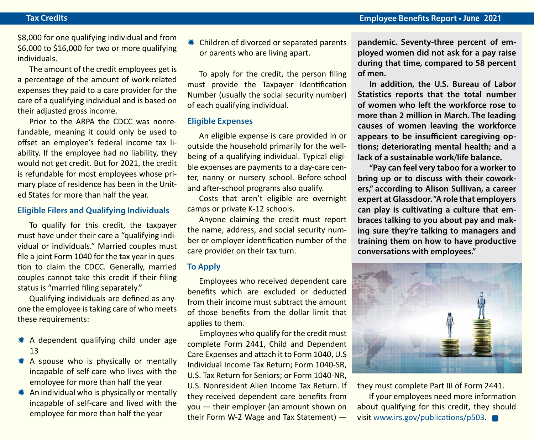\$8,000 for one qualifying individual and from \$6,000 to \$16,000 for two or more qualifying individuals.

The amount of the credit employees get is a percentage of the amount of work-related expenses they paid to a care provider for the care of a qualifying individual and is based on their adjusted gross income.

Prior to the ARPA the CDCC was nonrefundable, meaning it could only be used to offset an employee's federal income tax liability. If the employee had no liability, they would not get credit. But for 2021, the credit is refundable for most employees whose primary place of residence has been in the United States for more than half the year.

#### **Eligible Filers and Qualifying Individuals**

To qualify for this credit, the taxpayer must have under their care a "qualifying individual or individuals." Married couples must file a joint Form 1040 for the tax year in question to claim the CDCC. Generally, married couples cannot take this credit if their filing status is "married filing separately."

Qualifying individuals are defined as anyone the employee is taking care of who meets these requirements:

- $*$  A dependent qualifying child under age 13
- $*$  A spouse who is physically or mentally incapable of self-care who lives with the employee for more than half the year
- $*$  An individual who is physically or mentally incapable of self-care and lived with the employee for more than half the year

Children of divorced or separated parents or parents who are living apart.

To apply for the credit, the person filing must provide the Taxpayer Identification Number (usually the social security number) of each qualifying individual.

#### **Eligible Expenses**

An eligible expense is care provided in or outside the household primarily for the wellbeing of a qualifying individual. Typical eligible expenses are payments to a day-care center, nanny or nursery school. Before-school and after-school programs also qualify.

Costs that aren't eligible are overnight camps or private K-12 schools.

Anyone claiming the credit must report the name, address, and social security number or employer identification number of the care provider on their tax turn.

#### **To Apply**

Employees who received dependent care benefits which are excluded or deducted from their income must subtract the amount of those benefits from the dollar limit that applies to them.

Employees who qualify for the credit must complete Form 2441, Child and Dependent Care Expenses and attach it to Form 1040, U.S Individual Income Tax Return; Form 1040-SR, U.S. Tax Return for Seniors; or Form 1040-NR, U.S. Nonresident Alien Income Tax Return. If they received dependent care benefits from you — their employer (an amount shown on their Form W-2 Wage and Tax Statement) —

**pandemic. Seventy-three percent of employed women did not ask for a pay raise during that time, compared to 58 percent of men.** 

**In addition, the U.S. Bureau of Labor Statistics reports that the total number of women who left the workforce rose to more than 2 million in March. The leading causes of women leaving the workforce appears to be insufficient caregiving options; deteriorating mental health; and a lack of a sustainable work/life balance.**

**"Pay can feel very taboo for a worker to bring up or to discuss with their coworkers," according to Alison Sullivan, a career expert at Glassdoor. "A role that employers can play is cultivating a culture that embraces talking to you about pay and making sure they're talking to managers and training them on how to have productive conversations with employees."**



they must complete Part III of Form 2441.

If your employees need more information about qualifying for this credit, they should visit [www.irs.gov/publications/p503](http://www.irs.gov/publications/p503).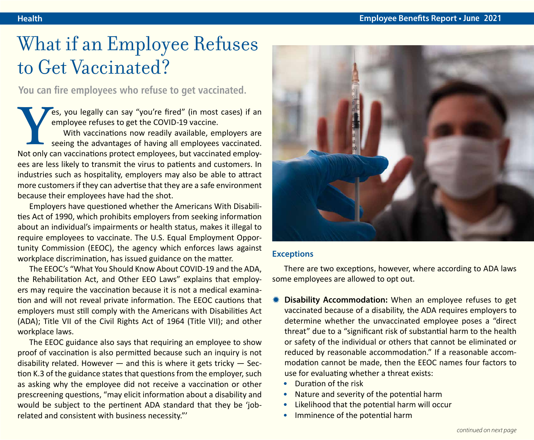## What if an Employee Refuses to Get Vaccinated?

**You can fire employees who refuse to get vaccinated.**

**Yes, you legally can say "you're fired" (in most cases) if an employee refuses to get the COVID-19 vaccine.<br>With vaccinations now readily available, employers are seeing the advantages of having all employees vaccinated.<br>** employee refuses to get the COVID-19 vaccine. With vaccinations now readily available, employers are seeing the advantages of having all employees vaccinated. ees are less likely to transmit the virus to patients and customers. In industries such as hospitality, employers may also be able to attract more customers if they can advertise that they are a safe environment because their employees have had the shot.

Employers have questioned whether the Americans With Disabilities Act of 1990, which prohibits employers from seeking information about an individual's impairments or health status, makes it illegal to require employees to vaccinate. The U.S. Equal Employment Opportunity Commission (EEOC), the agency which enforces laws against workplace discrimination, has issued guidance on the matter.

The EEOC's "What You Should Know About COVID-19 and the ADA, the Rehabilitation Act, and Other EEO Laws" explains that employers may require the vaccination because it is not a medical examination and will not reveal private information. The EEOC cautions that employers must still comply with the Americans with Disabilities Act (ADA); Title VII of the Civil Rights Act of 1964 (Title VII); and other workplace laws.

The EEOC guidance also says that requiring an employee to show proof of vaccination is also permitted because such an inquiry is not disability related. However  $-$  and this is where it gets tricky  $-$  Section K.3 of the guidance states that questions from the employer, such as asking why the employee did not receive a vaccination or other prescreening questions, "may elicit information about a disability and would be subject to the pertinent ADA standard that they be 'jobrelated and consistent with business necessity."'



#### **Exceptions**

There are two exceptions, however, where according to ADA laws some employees are allowed to opt out.

- **Disability Accommodation:** When an employee refuses to get vaccinated because of a disability, the ADA requires employers to determine whether the unvaccinated employee poses a "direct threat" due to a "significant risk of substantial harm to the health or safety of the individual or others that cannot be eliminated or reduced by reasonable accommodation." If a reasonable accommodation cannot be made, then the EEOC names four factors to use for evaluating whether a threat exists:
	- Duration of the risk
	- Nature and severity of the potential harm
	- Likelihood that the potential harm will occur
	- Imminence of the potential harm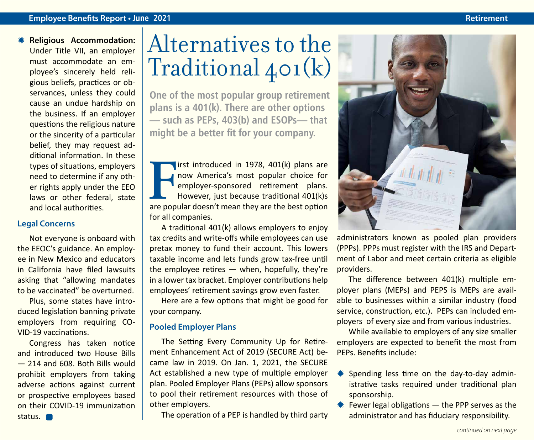#### **Employee Benefits Report • June 2021 Retirement**

**Religious Accommodation:** Under Title VII, an employer must accommodate an employee's sincerely held religious beliefs, practices or observances, unless they could cause an undue hardship on the business. If an employer questions the religious nature or the sincerity of a particular belief, they may request additional information. In these types of situations, employers need to determine if any other rights apply under the EEO laws or other federal, state and local authorities.

#### **Legal Concerns**

Not everyone is onboard with the EEOC's guidance. An employee in New Mexico and educators in California have filed lawsuits asking that "allowing mandates to be vaccinated" be overturned.

Plus, some states have introduced legislation banning private employers from requiring CO-VID-19 vaccinations.

Congress has taken notice and introduced two House Bills — 214 and 608. Both Bills would prohibit employers from taking adverse actions against current or prospective employees based on their COVID-19 immunization status. **nd** 

# Alternatives to the Traditional 401(k)

**One of the most popular group retirement plans is a 401(k). There are other options — such as PEPs, 403(b) and ESOPs— that might be a better fit for your company.**

**FR** introduced in 1978, 401(k) plans are now America's most popular choice for employer-sponsored retirement plans.<br>However, just because traditional 401(k)s are popular doesn't mean they are the best option irst introduced in 1978, 401(k) plans are now America's most popular choice for employer-sponsored retirement plans. However, just because traditional 401(k)s for all companies.

A traditional 401(k) allows employers to enjoy tax credits and write-offs while employees can use pretax money to fund their account. This lowers taxable income and lets funds grow tax-free until the employee retires  $-$  when, hopefully, they're in a lower tax bracket. Employer contributions help employees' retirement savings grow even faster.

Here are a few options that might be good for your company.

#### **Pooled Employer Plans**

The Setting Every Community Up for Retirement Enhancement Act of 2019 (SECURE Act) became law in 2019. On Jan. 1, 2021, the SECURE Act established a new type of multiple employer plan. Pooled Employer Plans (PEPs) allow sponsors to pool their retirement resources with those of other employers.

The operation of a PEP is handled by third party



administrators known as pooled plan providers (PPPs). PPPs must register with the IRS and Department of Labor and meet certain criteria as eligible providers.

The difference between 401(k) multiple employer plans (MEPs) and PEPS is MEPs are available to businesses within a similar industry (food service, construction, etc.). PEPs can included employers of every size and from various industries.

While available to employers of any size smaller employers are expected to benefit the most from PEPs. Benefits include:

- Spending less time on the day-to-day administrative tasks required under traditional plan sponsorship.
- $*$  Fewer legal obligations  $-$  the PPP serves as the administrator and has fiduciary responsibility.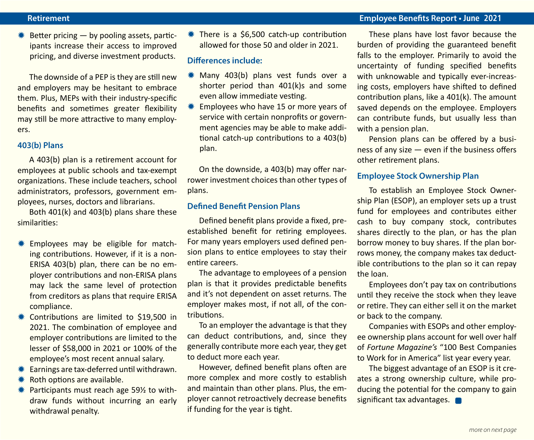#### **Retirement Employee Benefits Report • June 2021**

 $*$  Better pricing — by pooling assets, participants increase their access to improved pricing, and diverse investment products.

The downside of a PEP is they are still new and employers may be hesitant to embrace them. Plus, MEPs with their industry-specific benefits and sometimes greater flexibility may still be more attractive to many employers.

#### **403(b) Plans**

A 403(b) plan is a retirement account for employees at public schools and tax-exempt organizations. These include teachers, school administrators, professors, government employees, nurses, doctors and librarians.

Both 401(k) and 403(b) plans share these similarities:

- **\*** Employees may be eligible for matching contributions. However, if it is a non-ERISA 403(b) plan, there can be no employer contributions and non-ERISA plans may lack the same level of protection from creditors as plans that require ERISA compliance.
- **\*\*** Contributions are limited to \$19,500 in 2021. The combination of employee and employer contributions are limited to the lesser of \$58,000 in 2021 or 100% of the employee's most recent annual salary.
- **\* Earnings are tax-deferred until withdrawn.**
- $*$  Roth options are available.
- $*$  Participants must reach age 59% to withdraw funds without incurring an early withdrawal penalty.

 $*$  There is a \$6,500 catch-up contribution allowed for those 50 and older in 2021.

#### **Differences include:**

- $*$  Many 403(b) plans vest funds over a shorter period than 401(k)s and some even allow immediate vesting.
- Employees who have 15 or more years of service with certain nonprofits or government agencies may be able to make additional catch-up contributions to a 403(b) plan.

On the downside, a 403(b) may offer narrower investment choices than other types of plans.

#### **Defined Benefit Pension Plans**

Defined benefit plans provide a fixed, preestablished benefit for retiring employees. For many years employers used defined pension plans to entice employees to stay their entire careers.

The advantage to employees of a pension plan is that it provides predictable benefits and it's not dependent on asset returns. The employer makes most, if not all, of the contributions.

To an employer the advantage is that they can deduct contributions, and, since they generally contribute more each year, they get to deduct more each year.

However, defined benefit plans often are more complex and more costly to establish and maintain than other plans. Plus, the employer cannot retroactively decrease benefits if funding for the year is tight.

These plans have lost favor because the burden of providing the guaranteed benefit falls to the employer. Primarily to avoid the uncertainty of funding specified benefits with unknowable and typically ever-increasing costs, employers have shifted to defined contribution plans, like a 401(k). The amount saved depends on the employee. Employers can contribute funds, but usually less than with a pension plan.

Pension plans can be offered by a business of any size — even if the business offers other retirement plans.

#### **Employee Stock Ownership Plan**

To establish an Employee Stock Ownership Plan (ESOP), an employer sets up a trust fund for employees and contributes either cash to buy company stock, contributes shares directly to the plan, or has the plan borrow money to buy shares. If the plan borrows money, the company makes tax deductible contributions to the plan so it can repay the loan.

Employees don't pay tax on contributions until they receive the stock when they leave or retire. They can either sell it on the market or back to the company.

Companies with ESOPs and other employee ownership plans account for well over half of *Fortune Magazine's* "100 Best Companies to Work for in America" list year every year.

The biggest advantage of an ESOP is it creates a strong ownership culture, while producing the potential for the company to gain significant tax advantages.